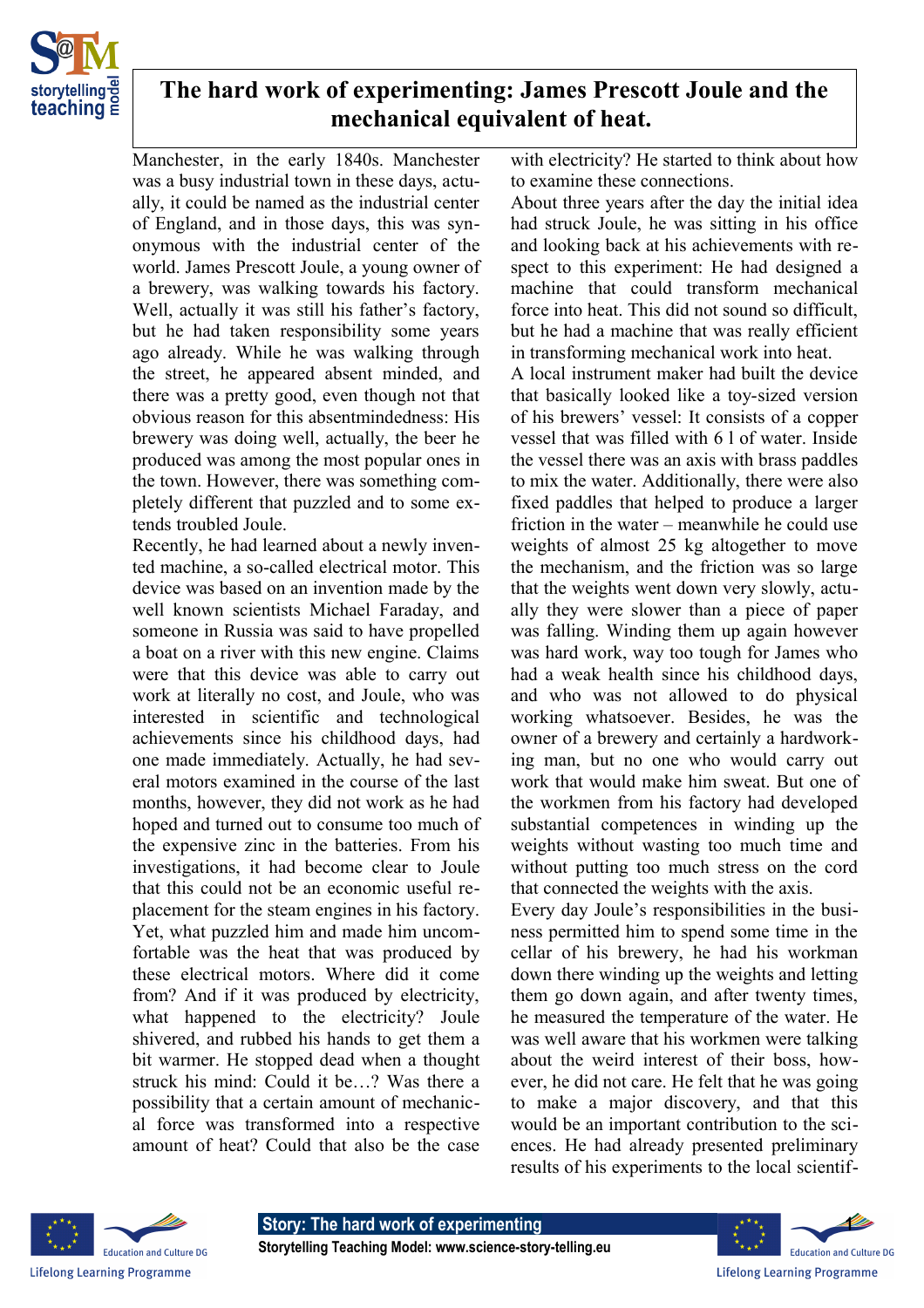

## **The hard work of experimenting: James Prescott Joule and the mechanical equivalent of heat.**

Manchester, in the early 1840s. Manchester was a busy industrial town in these days, actually, it could be named as the industrial center of England, and in those days, this was synonymous with the industrial center of the world. James Prescott Joule, a young owner of a brewery, was walking towards his factory. Well, actually it was still his father's factory, but he had taken responsibility some years ago already. While he was walking through the street, he appeared absent minded, and there was a pretty good, even though not that obvious reason for this absentmindedness: His brewery was doing well, actually, the beer he produced was among the most popular ones in the town. However, there was something completely different that puzzled and to some extends troubled Joule.

Recently, he had learned about a newly invented machine, a so-called electrical motor. This device was based on an invention made by the well known scientists Michael Faraday, and someone in Russia was said to have propelled a boat on a river with this new engine. Claims were that this device was able to carry out work at literally no cost, and Joule, who was interested in scientific and technological achievements since his childhood days, had one made immediately. Actually, he had several motors examined in the course of the last months, however, they did not work as he had hoped and turned out to consume too much of the expensive zinc in the batteries. From his investigations, it had become clear to Joule that this could not be an economic useful replacement for the steam engines in his factory. Yet, what puzzled him and made him uncomfortable was the heat that was produced by these electrical motors. Where did it come from? And if it was produced by electricity, what happened to the electricity? Joule shivered, and rubbed his hands to get them a bit warmer. He stopped dead when a thought struck his mind: Could it be…? Was there a possibility that a certain amount of mechanical force was transformed into a respective amount of heat? Could that also be the case

with electricity? He started to think about how to examine these connections.

About three years after the day the initial idea had struck Joule, he was sitting in his office and looking back at his achievements with respect to this experiment: He had designed a machine that could transform mechanical force into heat. This did not sound so difficult, but he had a machine that was really efficient in transforming mechanical work into heat.

A local instrument maker had built the device that basically looked like a toy-sized version of his brewers' vessel: It consists of a copper vessel that was filled with 6 l of water. Inside the vessel there was an axis with brass paddles to mix the water. Additionally, there were also fixed paddles that helped to produce a larger friction in the water – meanwhile he could use weights of almost 25 kg altogether to move the mechanism, and the friction was so large that the weights went down very slowly, actually they were slower than a piece of paper was falling. Winding them up again however was hard work, way too tough for James who had a weak health since his childhood days, and who was not allowed to do physical working whatsoever. Besides, he was the owner of a brewery and certainly a hardworking man, but no one who would carry out work that would make him sweat. But one of the workmen from his factory had developed substantial competences in winding up the weights without wasting too much time and without putting too much stress on the cord that connected the weights with the axis.

Every day Joule's responsibilities in the business permitted him to spend some time in the cellar of his brewery, he had his workman down there winding up the weights and letting them go down again, and after twenty times, he measured the temperature of the water. He was well aware that his workmen were talking about the weird interest of their boss, however, he did not care. He felt that he was going to make a major discovery, and that this would be an important contribution to the sciences. He had already presented preliminary results of his experiments to the local scientif-